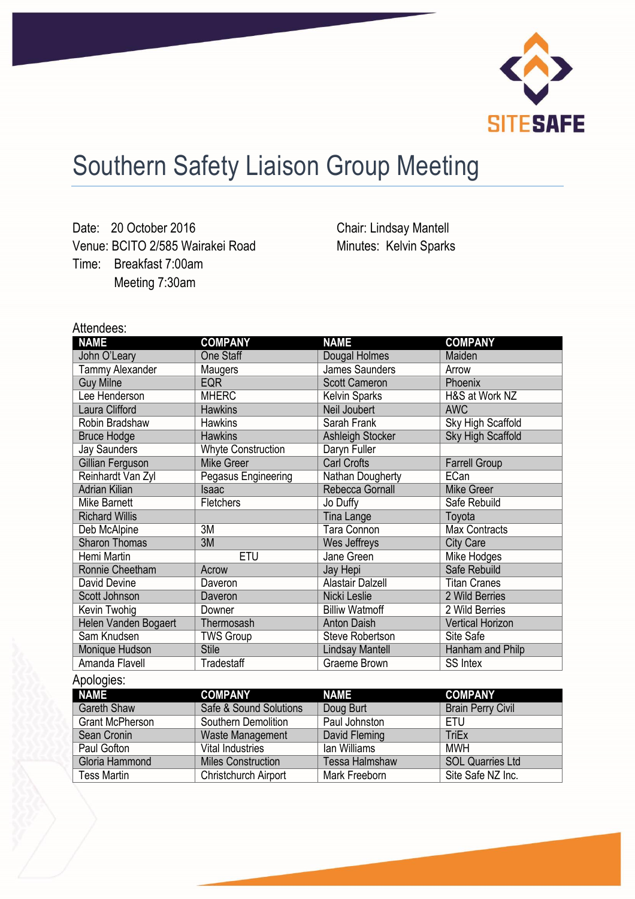

## Southern Safety Liaison Group Meeting

Date: 20 October 2016 Venue: BCITO 2/585 Wairakei Road Time: Breakfast 7:00am Meeting 7:30am

Chair: Lindsay Mantell Minutes: Kelvin Sparks

## Attendees:

| <b>NAME</b>            | <b>COMPANY</b>            | <b>NAME</b>             | <b>COMPANY</b>           |
|------------------------|---------------------------|-------------------------|--------------------------|
| John O'Leary           | <b>One Staff</b>          | Dougal Holmes           | Maiden                   |
| Tammy Alexander        | Maugers                   | <b>James Saunders</b>   | Arrow                    |
| <b>Guy Milne</b>       | <b>EQR</b>                | <b>Scott Cameron</b>    | Phoenix                  |
| Lee Henderson          | <b>MHERC</b>              | <b>Kelvin Sparks</b>    | H&S at Work NZ           |
| Laura Clifford         | <b>Hawkins</b>            | Neil Joubert            | <b>AWC</b>               |
| Robin Bradshaw         | <b>Hawkins</b>            | Sarah Frank             | Sky High Scaffold        |
| <b>Bruce Hodge</b>     | <b>Hawkins</b>            | Ashleigh Stocker        | <b>Sky High Scaffold</b> |
| <b>Jay Saunders</b>    | <b>Whyte Construction</b> | Daryn Fuller            |                          |
| Gillian Ferguson       | <b>Mike Greer</b>         | <b>Carl Crofts</b>      | <b>Farrell Group</b>     |
| Reinhardt Van Zyl      | Pegasus Engineering       | Nathan Dougherty        | <b>ECan</b>              |
| <b>Adrian Kilian</b>   | Isaac                     | Rebecca Gornall         | <b>Mike Greer</b>        |
| Mike Barnett           | Fletchers                 | Jo Duffy                | Safe Rebuild             |
| <b>Richard Willis</b>  |                           | Tina Lange              | Toyota                   |
| Deb McAlpine           | 3M                        | Tara Connon             | <b>Max Contracts</b>     |
| <b>Sharon Thomas</b>   | 3M                        | Wes Jeffreys            | <b>City Care</b>         |
| Hemi Martin            | <b>ETU</b>                | Jane Green              | Mike Hodges              |
| Ronnie Cheetham        | Acrow                     | Jay Hepi                | Safe Rebuild             |
| David Devine           | Daveron                   | <b>Alastair Dalzell</b> | <b>Titan Cranes</b>      |
| Scott Johnson          | Daveron                   | Nicki Leslie            | 2 Wild Berries           |
| Kevin Twohig           | Downer                    | <b>Billiw Watmoff</b>   | 2 Wild Berries           |
| Helen Vanden Bogaert   | Thermosash                | <b>Anton Daish</b>      | <b>Vertical Horizon</b>  |
| Sam Knudsen            | <b>TWS Group</b>          | Steve Robertson         | Site Safe                |
| Monique Hudson         | <b>Stile</b>              | <b>Lindsay Mantell</b>  | Hanham and Philp         |
| Amanda Flavell         | Tradestaff                | Graeme Brown            | SS Intex                 |
| Apologies:             |                           |                         |                          |
| <b>NAME</b>            | <b>COMPANY</b>            | <b>NAME</b>             | <b>COMPANY</b>           |
| <b>Gareth Shaw</b>     | Safe & Sound Solutions    | Doug Burt               | <b>Brain Perry Civil</b> |
| <b>Grant McPherson</b> | Southern Demolition       | Paul Johnston           | <b>ETU</b>               |
| Sean Cronin            | Waste Management          | David Fleming           | <b>TriEx</b>             |
| Paul Gofton            | <b>Vital Industries</b>   | lan Williams            | <b>MWH</b>               |
| Gloria Hammond         | <b>Miles Construction</b> | Tessa Halmshaw          | <b>SOL Quarries Ltd</b>  |
| <b>Tess Martin</b>     | Christchurch Airport      | Mark Freeborn           | Site Safe NZ Inc.        |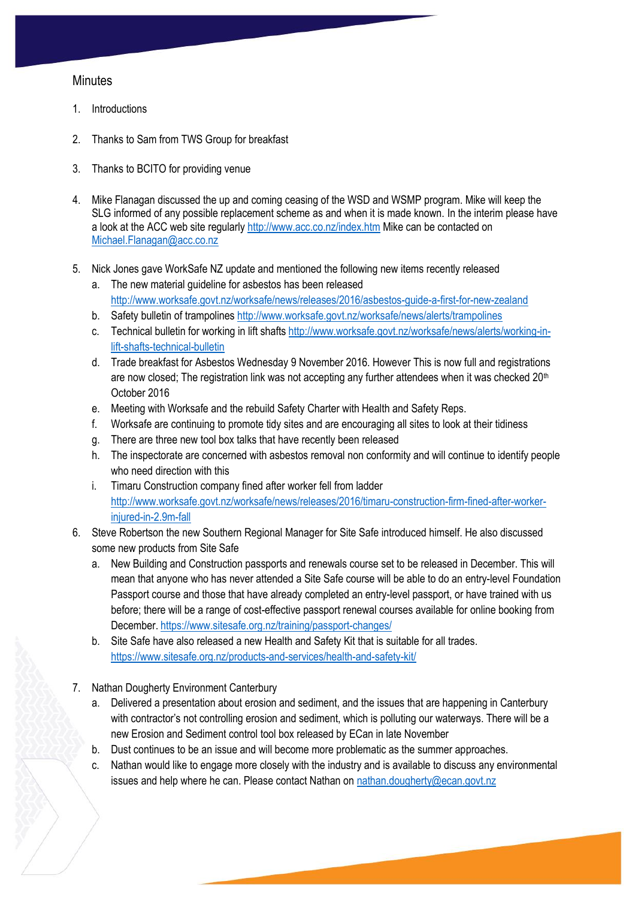## **Minutes**

- 1. Introductions
- 2. Thanks to Sam from TWS Group for breakfast
- 3. Thanks to BCITO for providing venue
- 4. Mike Flanagan discussed the up and coming ceasing of the WSD and WSMP program. Mike will keep the SLG informed of any possible replacement scheme as and when it is made known. In the interim please have a look at the ACC web site regularly<http://www.acc.co.nz/index.htm> Mike can be contacted on [Michael.Flanagan@acc.co.nz](mailto:Michael.Flanagan@acc.co.nz)
- 5. Nick Jones gave WorkSafe NZ update and mentioned the following new items recently released
	- a. The new material guideline for asbestos has been released <http://www.worksafe.govt.nz/worksafe/news/releases/2016/asbestos-guide-a-first-for-new-zealand>
	- b. Safety bulletin of trampolines<http://www.worksafe.govt.nz/worksafe/news/alerts/trampolines>
	- c. Technical bulletin for working in lift shafts [http://www.worksafe.govt.nz/worksafe/news/alerts/working-in](http://www.worksafe.govt.nz/worksafe/news/alerts/working-in-lift-shafts-technical-bulletin)[lift-shafts-technical-bulletin](http://www.worksafe.govt.nz/worksafe/news/alerts/working-in-lift-shafts-technical-bulletin)
	- d. Trade breakfast for Asbestos Wednesday 9 November 2016. However This is now full and registrations are now closed; The registration link was not accepting any further attendees when it was checked  $20<sup>th</sup>$ October 2016
	- e. Meeting with Worksafe and the rebuild Safety Charter with Health and Safety Reps.
	- f. Worksafe are continuing to promote tidy sites and are encouraging all sites to look at their tidiness
	- g. There are three new tool box talks that have recently been released
	- h. The inspectorate are concerned with asbestos removal non conformity and will continue to identify people who need direction with this
	- i. Timaru Construction company fined after worker fell from ladder [http://www.worksafe.govt.nz/worksafe/news/releases/2016/timaru-construction-firm-fined-after-worker](http://www.worksafe.govt.nz/worksafe/news/releases/2016/timaru-construction-firm-fined-after-worker-injured-in-2.9m-fall)[injured-in-2.9m-fall](http://www.worksafe.govt.nz/worksafe/news/releases/2016/timaru-construction-firm-fined-after-worker-injured-in-2.9m-fall)
- 6. Steve Robertson the new Southern Regional Manager for Site Safe introduced himself. He also discussed some new products from Site Safe
	- a. New Building and Construction passports and renewals course set to be released in December. This will mean that anyone who has never attended a Site Safe course will be able to do an entry-level Foundation Passport course and those that have already completed an entry-level passport, or have trained with us before; there will be a range of cost-effective passport renewal courses available for online booking from December. <https://www.sitesafe.org.nz/training/passport-changes/>
	- b. Site Safe have also released a new Health and Safety Kit that is suitable for all trades. <https://www.sitesafe.org.nz/products-and-services/health-and-safety-kit/>
- 7. Nathan Dougherty Environment Canterbury
	- a. Delivered a presentation about erosion and sediment, and the issues that are happening in Canterbury with contractor's not controlling erosion and sediment, which is polluting our waterways. There will be a new Erosion and Sediment control tool box released by ECan in late November
	- b. Dust continues to be an issue and will become more problematic as the summer approaches.
	- c. Nathan would like to engage more closely with the industry and is available to discuss any environmental issues and help where he can. Please contact Nathan on [nathan.dougherty@ecan.govt.nz](mailto:nathan.dougherty@ecan.govt.nz)